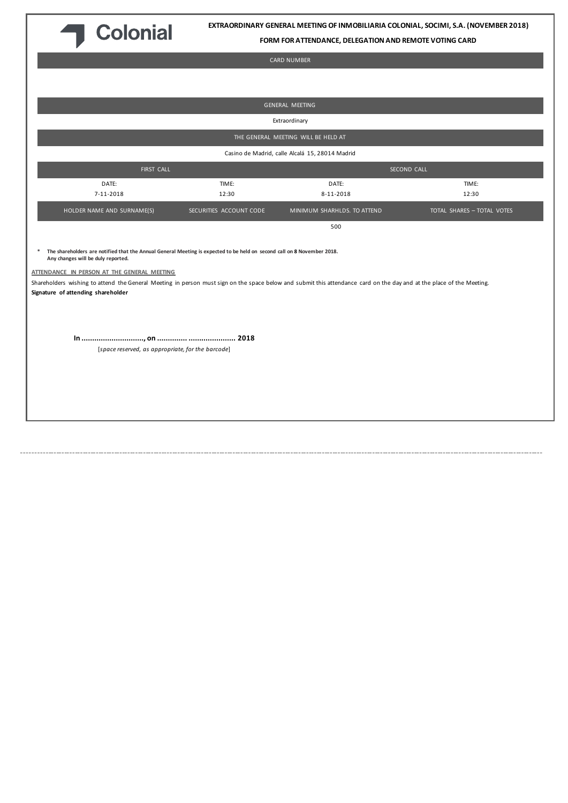

**EXTRAORDINARY GENERAL MEETING OF INMOBILIARIA COLONIAL, SOCIMI, S.A. (NOVEMBER 2018)**

**FORM FOR ATTENDANCE, DELEGATION AND REMOTE VOTING CARD**

# CARD NUMBER

|                                                                                                                                                                                                                                                                                                                                                                                                                                  |                         | GENERAL MEETING                                 |                            |  |  |  |
|----------------------------------------------------------------------------------------------------------------------------------------------------------------------------------------------------------------------------------------------------------------------------------------------------------------------------------------------------------------------------------------------------------------------------------|-------------------------|-------------------------------------------------|----------------------------|--|--|--|
| Extraordinary                                                                                                                                                                                                                                                                                                                                                                                                                    |                         |                                                 |                            |  |  |  |
| THE GENERAL MEETING WILL BE HELD AT                                                                                                                                                                                                                                                                                                                                                                                              |                         |                                                 |                            |  |  |  |
|                                                                                                                                                                                                                                                                                                                                                                                                                                  |                         | Casino de Madrid, calle Alcalá 15, 28014 Madrid |                            |  |  |  |
| FIRST CALL                                                                                                                                                                                                                                                                                                                                                                                                                       | SECOND CALL             |                                                 |                            |  |  |  |
| DATE:<br>7-11-2018                                                                                                                                                                                                                                                                                                                                                                                                               | TIME:<br>12:30          | DATE:<br>8-11-2018                              | TIME:<br>12:30             |  |  |  |
| HOLDER NAME AND SURNAME(S)                                                                                                                                                                                                                                                                                                                                                                                                       | SECURITIES ACCOUNT CODE | MINIMUM SHARHLDS. TO ATTEND                     | TOTAL SHARES - TOTAL VOTES |  |  |  |
|                                                                                                                                                                                                                                                                                                                                                                                                                                  |                         | 500                                             |                            |  |  |  |
| The shareholders are notified that the Annual General Meeting is expected to be held on second call on 8 November 2018.<br>*<br>Any changes will be duly reported.<br>ATTENDANCE IN PERSON AT THE GENERAL MEETING<br>Shareholders wishing to attend the General Meeting in person must sign on the space below and submit this attendance card on the day and at the place of the Meeting.<br>Signature of attending shareholder |                         |                                                 |                            |  |  |  |
| [space reserved, as appropriate, for the barcode]                                                                                                                                                                                                                                                                                                                                                                                |                         |                                                 |                            |  |  |  |

------------------------------------------------------------------------------------------------------------------------------------------------------------------------------------------------------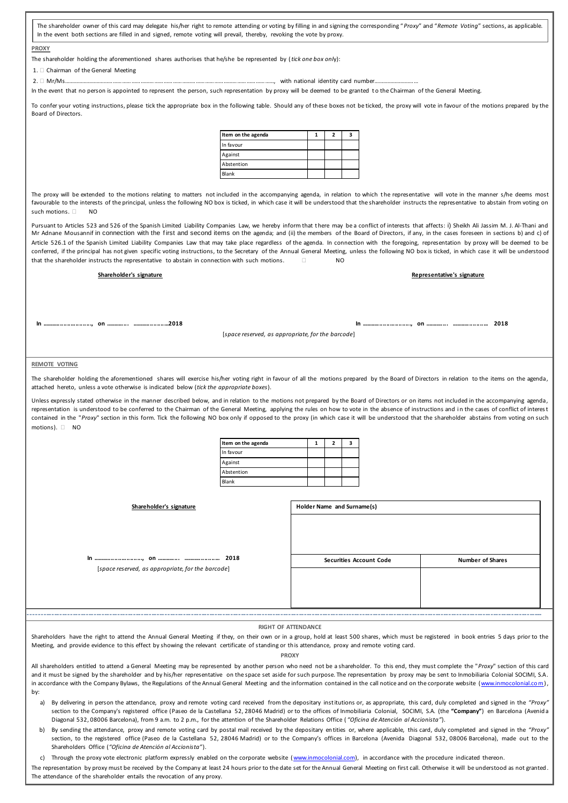The shareholder owner of this card may delegate his/her right to remote attending or voting by filling in and signing the corresponding "*Proxy*" and "*Remote Voting*" sections, as applicable. In the event both sections are filled in and signed, remote voting will prevail, thereby, revoking the vote by proxy.

### **PROXY**

The shareholder holding the aforementioned shares authorises that he/she be represented by (*tick one box onl*y):

#### 1.  $\Box$  Chairman of the General Meeting

2. Mr/Ms…………………………………………………………………………………………………………………………, with national identity card number…………………………

In the event that no person is appointed to represent the person, such representation by proxy will be deemed to be granted to the Chairman of the General Meeting.

To confer your voting instructions, please tick the appropriate box in the following table. Should any of these boxes not be ticked, the proxy will vote in favour of the motions prepared by the Board of Directors.

| Item on the agenda |  |  |
|--------------------|--|--|
| In favour          |  |  |
| Against            |  |  |
| Abstention         |  |  |
| Blank              |  |  |

The proxy will be extended to the motions relating to matters not included in the accompanying agenda, in relation to which the representative will vote in the manner s/he deems most favourable to the interests of the principal, unless the following NO box is ticked, in which case it will be understood that the shareholder instructs the representative to abstain from voting on such motions.  $\Box$  NO

Pursuant to Articles 523 and 526 of the Spanish Limited Liability Companies Law, we hereby inform that there may be a conflict of interests that affects: i) Sheikh Ali Jassim M. J. Al‐Thani and Mr Adnane Mousannif in connection with the f irst and second items on the agenda; and (ii) the members of the Board of Directors, if any, in the cases foreseen in sections b) and c) of Article 526.1 of the Spanish Limited Liability Companies Law that may take place regardless of the agenda. In connection with the foregoing, representation by proxy will be deemed to be conferred, if the principal has not given specific voting instructions, to the Secretary of the Annual General Meeting, unless the following NO box is ticked, in which case it will be understood that the shareholder instructs the representative to abstain in connection with such motions.  $\Box$ 

# **Shareholder's signature Representative's signature**

**In ............................., on .............. ......................2018 In ............................., on .............. ...................... 2018**

[*space reserved, as appropriate, for the barcode*]

#### **REMOTE VOTING**

The shareholder holding the aforementioned shares will exercise his/her voting right in favour of all the motions prepared by the Board of Directors in relation to the items on the agenda, attached hereto, unless a vote otherwise is indicated below (*tick the appropriate boxes*).

Unless expressly stated otherwise in the manner described below, and in relation to the motions not prepared by the Board of Directors or on items not included in the accompanying agenda, representation is understood to be conferred to the Chairman of the General Meeting, applying the rules on how to vote in the absence of instructions and in the cases of conflict of interest contained in the "Proxy" section in this form. Tick the following NO box only if opposed to the proxy (in which case it will be understood that the shareholder abstains from voting on such motions). <sup>1</sup> NO

| Item on the agenda |  |  |
|--------------------|--|--|
| In favour          |  |  |
| Against            |  |  |
| Abstention         |  |  |
| Blank              |  |  |

| Shareholder's signature                           | Holder Name and Surname(s)     |                         |  |
|---------------------------------------------------|--------------------------------|-------------------------|--|
|                                                   |                                |                         |  |
|                                                   | <b>Securities Account Code</b> | <b>Number of Shares</b> |  |
| [space reserved, as appropriate, for the barcode] |                                |                         |  |
|                                                   |                                |                         |  |

#### **RIGHT OF ATTENDANCE**

-------------------------------------------------------------------------------------------------------------------------------------------------------------------------------------------------------

Shareholders have the right to attend the Annual General Meeting if they, on their own or in a group, hold at least 500 shares, which must be registered in book entries 5 days prior to the Meeting, and provide evidence to this effect by showing the relevant certificate of standing or th is attendance, proxy and remote voting card.

**PROXY**

All shareholders entitled to attend a General Meeting may be represented by another person who need not be a shareholder. To this end, they must complete the "Proxy" section of this card and it must be signed by the shareholder and by his/her representative on the space set aside for such purpose. The representation by proxy may be sent to Inmobiliaria Colonial SOCIMI, S.A. in accordance with the Company Bylaws, the Regulations of the Annual General Meeting and the information contained in the call notice and on the corporate website (www.inmocolonial.com), by:

a) By delivering in person the attendance, proxy and remote voting card received from the depositary institutions or, as appropriate, this card, duly completed and signed in the *"Proxy"* section to the Company's registered office (Paseo de la Castellana 52, 28046 Madrid) or to the offices of Inmobiliaria Colonial, SOCIMI, S.A. (the "Company") en Barcelona (Avenida Diagonal 532, 08006 Barcelona), from 9 a.m. to 2 p.m., for the attention of the Shareholder Relations Office ( *"Oficina de Atención al Accionista"*).

b) By sending the attendance, proxy and remote voting card by postal mail received by the depositary en tities or, where applicable, this card, duly completed and signed in the *"Proxy"* section, to the registered office (Paseo de la Castellana 52, 28046 Madrid) or to the Company's offices in Barcelona (Avenida Diagonal 532, 08006 Barcelona), made out to the Shareholders Office (*"Oficina de Atención al Accionista"*).

c) Through the proxy vote electronic platform expressly enabled on the corporate website [\(www.inmocolonial.com\),](http://www.inmocolonial.com/) in accordance with the procedure indicated thereon.

The representation by proxy must be received by the Company at least 24 hours prior to the date set for the Annual General Meeting on first call. Otherwise it will be understood as not granted The attendance of the shareholder entails the revocation of any proxy.